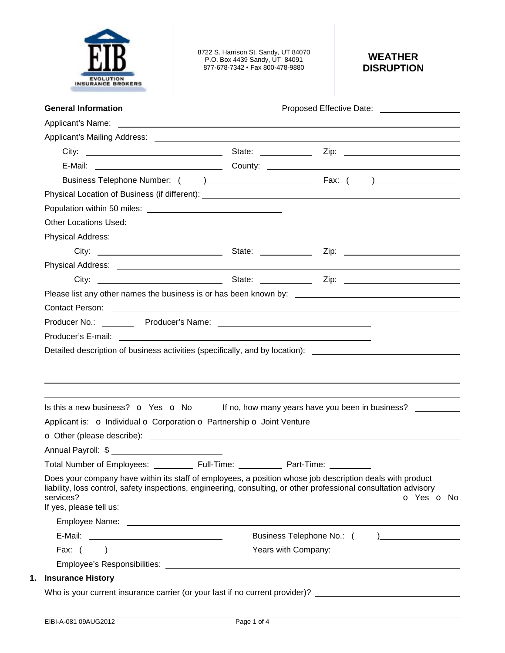

8722 S. Harrison St. Sandy, UT 84070 P.O. Box 4439 Sandy, UT 84091 877-678-7342 • Fax 800-478-9880

## **WEATHER DISRUPTION**

| <b>General Information</b>                                                                                                                                                                                                                                                                                  |            |            | Proposed Effective Date: National Assembly Proposed Effective Date:                                                                                                                                                            |
|-------------------------------------------------------------------------------------------------------------------------------------------------------------------------------------------------------------------------------------------------------------------------------------------------------------|------------|------------|--------------------------------------------------------------------------------------------------------------------------------------------------------------------------------------------------------------------------------|
|                                                                                                                                                                                                                                                                                                             |            |            |                                                                                                                                                                                                                                |
|                                                                                                                                                                                                                                                                                                             |            |            |                                                                                                                                                                                                                                |
|                                                                                                                                                                                                                                                                                                             |            |            |                                                                                                                                                                                                                                |
|                                                                                                                                                                                                                                                                                                             |            |            |                                                                                                                                                                                                                                |
|                                                                                                                                                                                                                                                                                                             |            |            |                                                                                                                                                                                                                                |
|                                                                                                                                                                                                                                                                                                             |            |            |                                                                                                                                                                                                                                |
|                                                                                                                                                                                                                                                                                                             |            |            |                                                                                                                                                                                                                                |
| <b>Other Locations Used:</b>                                                                                                                                                                                                                                                                                |            |            |                                                                                                                                                                                                                                |
|                                                                                                                                                                                                                                                                                                             |            |            |                                                                                                                                                                                                                                |
|                                                                                                                                                                                                                                                                                                             |            |            |                                                                                                                                                                                                                                |
|                                                                                                                                                                                                                                                                                                             |            |            |                                                                                                                                                                                                                                |
|                                                                                                                                                                                                                                                                                                             |            |            |                                                                                                                                                                                                                                |
|                                                                                                                                                                                                                                                                                                             |            |            |                                                                                                                                                                                                                                |
| Contact Person: <u>contact Person</u>                                                                                                                                                                                                                                                                       |            |            |                                                                                                                                                                                                                                |
|                                                                                                                                                                                                                                                                                                             |            |            |                                                                                                                                                                                                                                |
|                                                                                                                                                                                                                                                                                                             |            |            |                                                                                                                                                                                                                                |
| Detailed description of business activities (specifically, and by location): _________________________________                                                                                                                                                                                              |            |            |                                                                                                                                                                                                                                |
|                                                                                                                                                                                                                                                                                                             |            |            |                                                                                                                                                                                                                                |
| Is this a new business? $\bullet$ Yes $\bullet$ No If no, how many years have you been in business?                                                                                                                                                                                                         |            |            |                                                                                                                                                                                                                                |
|                                                                                                                                                                                                                                                                                                             |            |            |                                                                                                                                                                                                                                |
| Applicant is: o Individual o Corporation o Partnership o Joint Venture                                                                                                                                                                                                                                      |            |            |                                                                                                                                                                                                                                |
| Annual Payroll: \$ and the state of the state of the state of the state of the state of the state of the state o                                                                                                                                                                                            |            |            |                                                                                                                                                                                                                                |
|                                                                                                                                                                                                                                                                                                             | Full-Time: | Part-Time: |                                                                                                                                                                                                                                |
| <b>Total Number of Employees:</b><br>Does your company have within its staff of employees, a position whose job description deals with product<br>liability, loss control, safety inspections, engineering, consulting, or other professional consultation advisory<br>services?<br>If yes, please tell us: |            |            | o Yes o No                                                                                                                                                                                                                     |
|                                                                                                                                                                                                                                                                                                             |            |            |                                                                                                                                                                                                                                |
|                                                                                                                                                                                                                                                                                                             |            |            |                                                                                                                                                                                                                                |
| Fax: $($<br>) and the contract of the contract of $\overline{\phantom{a}}$                                                                                                                                                                                                                                  |            |            | Years with Company: Nearly Company: Nearly Company: Nearly Company: Nearly Company: Nearly Company: Nearly Company: Nearly Company: Nearly Company: Nearly Company: Nearly Company: Nearly Company: Nearly Company: Nearly Com |
| <b>Insurance History</b>                                                                                                                                                                                                                                                                                    |            |            |                                                                                                                                                                                                                                |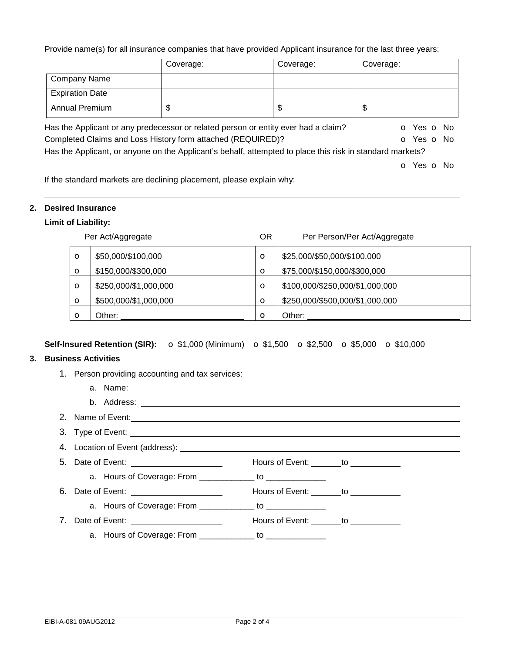Provide name(s) for all insurance companies that have provided Applicant insurance for the last three years:

|                        | Coverage:                                                                        | Coverage:                                                                                                 | Coverage:                |
|------------------------|----------------------------------------------------------------------------------|-----------------------------------------------------------------------------------------------------------|--------------------------|
| <b>Company Name</b>    |                                                                                  |                                                                                                           |                          |
| <b>Expiration Date</b> |                                                                                  |                                                                                                           |                          |
| <b>Annual Premium</b>  | \$                                                                               | \$                                                                                                        | \$                       |
|                        |                                                                                  | Has the Applicant or any predecessor or related person or entity ever had a claim?                        | <b>o</b> Yes <b>o</b> No |
|                        | Completed Claims and Loss History form attached (REQUIRED)?                      |                                                                                                           | O Yes O No               |
|                        |                                                                                  | Has the Applicant, or anyone on the Applicant's behalf, attempted to place this risk in standard markets? |                          |
|                        |                                                                                  |                                                                                                           | <b>o</b> Yes <b>o</b> No |
|                        | <u>If the extensional meadcate are sleplicing placement places available why</u> |                                                                                                           |                          |

If the standard markets are declining placement, please explain why:

#### **2. Desired Insurance**

#### **Limit of Liability:**

|         | Per Act/Aggregate     | ΟR      | Per Person/Per Act/Aggregate    |
|---------|-----------------------|---------|---------------------------------|
| O       | \$50,000/\$100,000    | $\circ$ | \$25,000/\$50,000/\$100,000     |
| O       | \$150,000/\$300,000   | $\circ$ | \$75,000/\$150,000/\$300,000    |
| $\circ$ | \$250,000/\$1,000,000 | $\circ$ | \$100,000/\$250,000/\$1,000,000 |
| $\circ$ | \$500,000/\$1,000,000 | $\circ$ | \$250,000/\$500,000/\$1,000,000 |
| Ω       | Other:                | $\circ$ | Other:                          |

### **Self-Insured Retention (SIR):** o \$1,000 (Minimum) o \$1,500 o \$2,500 o \$5,000 o \$10,000

# **3. Business Activities**

| iness activities                                                                                                             |                                        |
|------------------------------------------------------------------------------------------------------------------------------|----------------------------------------|
| 1. Person providing accounting and tax services:                                                                             |                                        |
|                                                                                                                              |                                        |
|                                                                                                                              |                                        |
| 2. Name of Event: <u>Continuum and Communication</u> and Communication and Communication and Communication and Communication |                                        |
|                                                                                                                              |                                        |
|                                                                                                                              |                                        |
| 5. Date of Event: _______________________                                                                                    | Hours of Event: _______ to ___________ |
| a. Hours of Coverage: From ______________ to _______________                                                                 |                                        |
|                                                                                                                              | Hours of Event: _______ to ___________ |
| a. Hours of Coverage: From _____________ to _______________                                                                  |                                        |
| 7. Date of Event: _______________________                                                                                    | Hours of Event: _______to ___________  |
| a. Hours of Coverage: From ______________ to _______________                                                                 |                                        |
|                                                                                                                              |                                        |
|                                                                                                                              |                                        |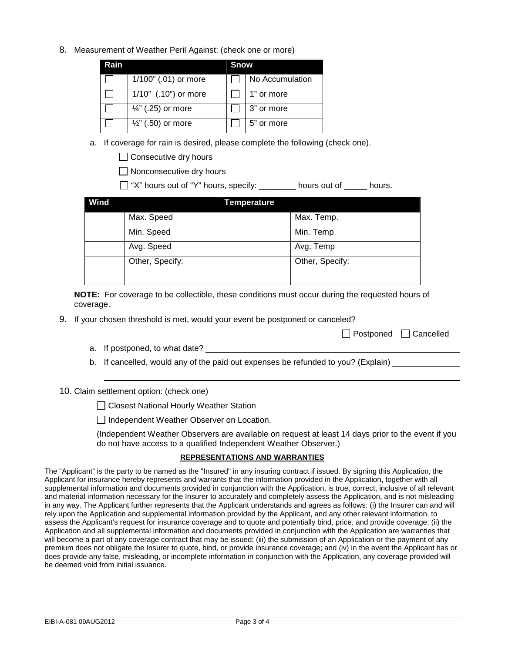8. Measurement of Weather Peril Against: (check one or more)

| Rain |                               | Snow |                 |
|------|-------------------------------|------|-----------------|
|      | 1/100" (.01) or more          |      | No Accumulation |
|      | 1/10" (.10") or more          |      | 1" or more      |
|      | $\frac{1}{4}$ " (.25) or more |      | 3" or more      |
|      | $\frac{1}{2}$ " (.50) or more |      | 5" or more      |

a. If coverage for rain is desired, please complete the following (check one).

 $\Box$  Consecutive dry hours

Nonconsecutive dry hours

"X" hours out of "Y" hours, specify: \_\_\_\_\_\_\_\_ hours out of \_\_\_\_\_ hours.

| Wind |                 | <b>Temperature</b> |                 |
|------|-----------------|--------------------|-----------------|
|      | Max. Speed      |                    | Max. Temp.      |
|      | Min. Speed      |                    | Min. Temp       |
|      | Avg. Speed      |                    | Avg. Temp       |
|      | Other, Specify: |                    | Other, Specify: |

**NOTE:** For coverage to be collectible, these conditions must occur during the requested hours of coverage.

9. If your chosen threshold is met, would your event be postponed or canceled?

|  | □ Postponed □ Cancelled |
|--|-------------------------|
|--|-------------------------|

- a. If postponed, to what date?
- b. If cancelled, would any of the paid out expenses be refunded to you? (Explain)

10. Claim settlement option: (check one)

□ Closest National Hourly Weather Station

Independent Weather Observer on Location.

(Independent Weather Observers are available on request at least 14 days prior to the event if you do not have access to a qualified Independent Weather Observer.)

#### **REPRESENTATIONS AND WARRANTIES**

The "Applicant" is the party to be named as the "Insured" in any insuring contract if issued. By signing this Application, the Applicant for insurance hereby represents and warrants that the information provided in the Application, together with all supplemental information and documents provided in conjunction with the Application, is true, correct, inclusive of all relevant and material information necessary for the Insurer to accurately and completely assess the Application, and is not misleading in any way. The Applicant further represents that the Applicant understands and agrees as follows: (i) the Insurer can and will rely upon the Application and supplemental information provided by the Applicant, and any other relevant information, to assess the Applicant's request for insurance coverage and to quote and potentially bind, price, and provide coverage; (ii) the Application and all supplemental information and documents provided in conjunction with the Application are warranties that will become a part of any coverage contract that may be issued; (iii) the submission of an Application or the payment of any premium does not obligate the Insurer to quote, bind, or provide insurance coverage; and (iv) in the event the Applicant has or does provide any false, misleading, or incomplete information in conjunction with the Application, any coverage provided will be deemed void from initial issuance.